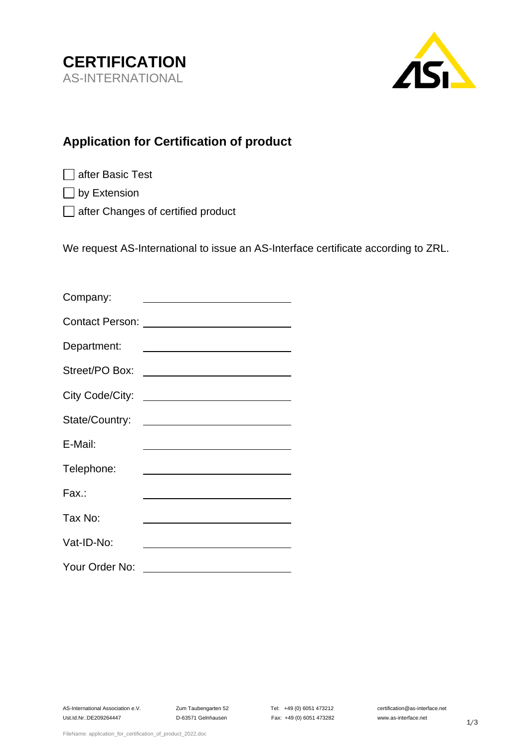



## **Application for Certification of product**

 $\Box$  by Extension

□ after Changes of certified product

We request AS-International to issue an AS-Interface certificate according to ZRL.

| Company:       |                                              |
|----------------|----------------------------------------------|
|                |                                              |
| Department:    |                                              |
| Street/PO Box: | <u> 1989 - Johann Stein, mars an de Fran</u> |
|                |                                              |
|                |                                              |
| E-Mail:        |                                              |
| Telephone:     |                                              |
| Fax.:          |                                              |
| Tax No:        |                                              |
| Vat-ID-No:     |                                              |
| Your Order No: |                                              |

Ust.Id.Nr.:DE209264447 D-63571 Gelnhausen Fax: +49 (0) 6051 473282 www.as-interface.net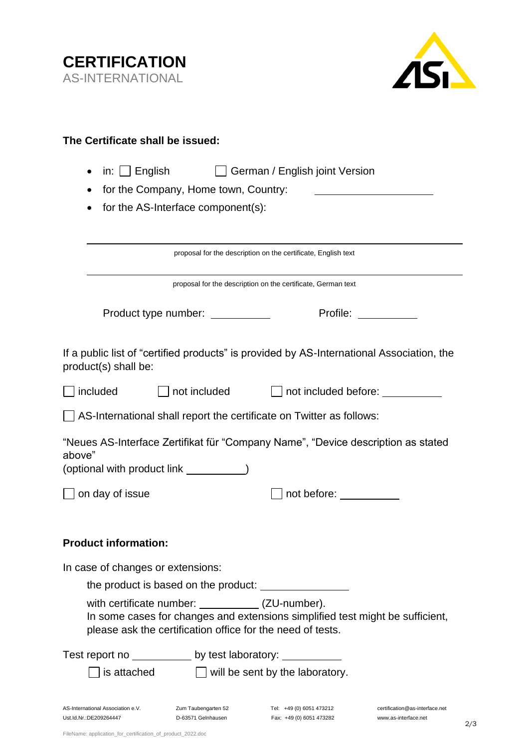



| The Certificate shall be issued:                                                                                                                                                                                                                                  |  |  |  |  |  |
|-------------------------------------------------------------------------------------------------------------------------------------------------------------------------------------------------------------------------------------------------------------------|--|--|--|--|--|
| in: $\Box$ English<br>German / English joint Version                                                                                                                                                                                                              |  |  |  |  |  |
| for the Company, Home town, Country:                                                                                                                                                                                                                              |  |  |  |  |  |
| for the AS-Interface component(s):                                                                                                                                                                                                                                |  |  |  |  |  |
|                                                                                                                                                                                                                                                                   |  |  |  |  |  |
| proposal for the description on the certificate, English text                                                                                                                                                                                                     |  |  |  |  |  |
| proposal for the description on the certificate, German text                                                                                                                                                                                                      |  |  |  |  |  |
| Profile: The control of the control of the control of the control of the control of the control of the control of the control of the control of the control of the control of the control of the control of the control of the<br>Product type number: __________ |  |  |  |  |  |
| If a public list of "certified products" is provided by AS-International Association, the<br>product(s) shall be:                                                                                                                                                 |  |  |  |  |  |
| included<br>    not included<br>$\Box$ not included before:                                                                                                                                                                                                       |  |  |  |  |  |
| AS-International shall report the certificate on Twitter as follows:                                                                                                                                                                                              |  |  |  |  |  |
| "Neues AS-Interface Zertifikat für "Company Name", "Device description as stated<br>above"<br>(optional with product link _____________)                                                                                                                          |  |  |  |  |  |
| on day of issue<br>not before: ________                                                                                                                                                                                                                           |  |  |  |  |  |
| <b>Product information:</b>                                                                                                                                                                                                                                       |  |  |  |  |  |
| In case of changes or extensions:                                                                                                                                                                                                                                 |  |  |  |  |  |
|                                                                                                                                                                                                                                                                   |  |  |  |  |  |
| with certificate number: ____________(ZU-number).<br>In some cases for changes and extensions simplified test might be sufficient,<br>please ask the certification office for the need of tests.                                                                  |  |  |  |  |  |
| Test report no ______________ by test laboratory: ____________                                                                                                                                                                                                    |  |  |  |  |  |
| $\Box$ will be sent by the laboratory.<br>is attached                                                                                                                                                                                                             |  |  |  |  |  |
| AS-International Association e.V.<br>Zum Taubengarten 52<br>Tel: +49 (0) 6051 473212<br>certification@as-interface.net<br>Ust.Id.Nr.:DE209264447<br>D-63571 Gelnhausen<br>Fax: +49 (0) 6051 473282<br>www.as-interface.net                                        |  |  |  |  |  |